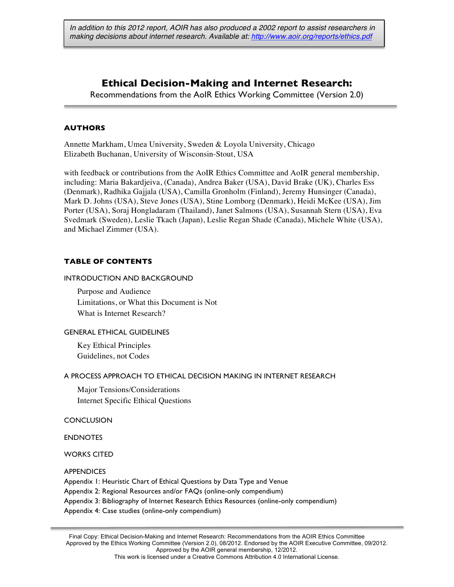# **Ethical Decision-Making and Internet Research:**

Recommendations from the AoIR Ethics Working Committee (Version 2.0)

# **AUTHORS**

Annette Markham, Umea University, Sweden & Loyola University, Chicago Elizabeth Buchanan, University of Wisconsin-Stout, USA

with feedback or contributions from the AoIR Ethics Committee and AoIR general membership, including: Maria Bakardjeiva, (Canada), Andrea Baker (USA), David Brake (UK), Charles Ess (Denmark), Radhika Gajjala (USA), Camilla Gronholm (Finland), Jeremy Hunsinger (Canada), Mark D. Johns (USA), Steve Jones (USA), Stine Lomborg (Denmark), Heidi McKee (USA), Jim Porter (USA), Soraj Hongladaram (Thailand), Janet Salmons (USA), Susannah Stern (USA), Eva Svedmark (Sweden), Leslie Tkach (Japan), Leslie Regan Shade (Canada), Michele White (USA), and Michael Zimmer (USA).

# **TABLE OF CONTENTS**

#### INTRODUCTION AND BACKGROUND

Purpose and Audience Limitations, or What this Document is Not What is Internet Research?

### GENERAL ETHICAL GUIDELINES

Key Ethical Principles Guidelines, not Codes

### A PROCESS APPROACH TO ETHICAL DECISION MAKING IN INTERNET RESEARCH

Major Tensions/Considerations Internet Specific Ethical Questions

#### **CONCLUSION**

ENDNOTES

WORKS CITED

**APPENDICES** 

Appendix 1: Heuristic Chart of Ethical Questions by Data Type and Venue

Appendix 2: Regional Resources and/or FAQs (online-only compendium)

Appendix 3: Bibliography of Internet Research Ethics Resources (online-only compendium)

Appendix 4: Case studies (online-only compendium)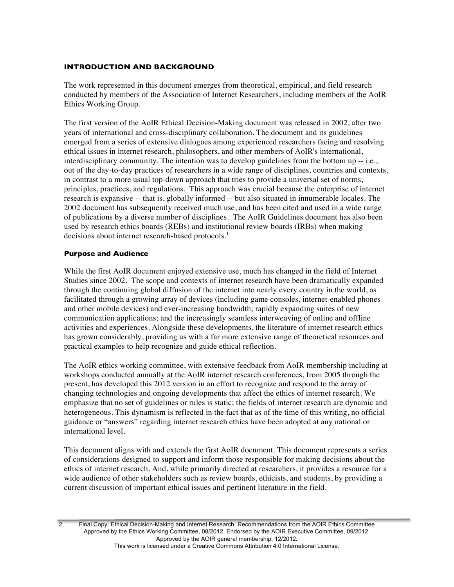# **INTRODUCTION AND BACKGROUND**

The work represented in this document emerges from theoretical, empirical, and field research conducted by members of the Association of Internet Researchers, including members of the AoIR Ethics Working Group.

The first version of the AoIR Ethical Decision-Making document was released in 2002, after two years of international and cross-disciplinary collaboration. The document and its guidelines emerged from a series of extensive dialogues among experienced researchers facing and resolving ethical issues in internet research, philosophers, and other members of AoIR's international, interdisciplinary community. The intention was to develop guidelines from the bottom up -- i.e., out of the day-to-day practices of researchers in a wide range of disciplines, countries and contexts, in contrast to a more usual top-down approach that tries to provide a universal set of norms, principles, practices, and regulations. This approach was crucial because the enterprise of internet research is expansive -- that is, globally informed -- but also situated in innumerable locales. The 2002 document has subsequently received much use, and has been cited and used in a wide range of publications by a diverse number of disciplines. The AoIR Guidelines document has also been used by research ethics boards (REBs) and institutional review boards (IRBs) when making decisions about internet research-based protocols.<sup>1</sup>

# **Purpose and Audience**

While the first AoIR document enjoyed extensive use, much has changed in the field of Internet Studies since 2002. The scope and contexts of internet research have been dramatically expanded through the continuing global diffusion of the internet into nearly every country in the world, as facilitated through a growing array of devices (including game consoles, internet-enabled phones and other mobile devices) and ever-increasing bandwidth; rapidly expanding suites of new communication applications; and the increasingly seamless interweaving of online and offline activities and experiences. Alongside these developments, the literature of internet research ethics has grown considerably, providing us with a far more extensive range of theoretical resources and practical examples to help recognize and guide ethical reflection.

The AoIR ethics working committee, with extensive feedback from AoIR membership including at workshops conducted annually at the AoIR internet research conferences, from 2005 through the present, has developed this 2012 version in an effort to recognize and respond to the array of changing technologies and ongoing developments that affect the ethics of internet research. We emphasize that no set of guidelines or rules is static; the fields of internet research are dynamic and heterogeneous. This dynamism is reflected in the fact that as of the time of this writing, no official guidance or "answers" regarding internet research ethics have been adopted at any national or international level.

This document aligns with and extends the first AoIR document. This document represents a series of considerations designed to support and inform those responsible for making decisions about the ethics of internet research. And, while primarily directed at researchers, it provides a resource for a wide audience of other stakeholders such as review boards, ethicists, and students, by providing a current discussion of important ethical issues and pertinent literature in the field.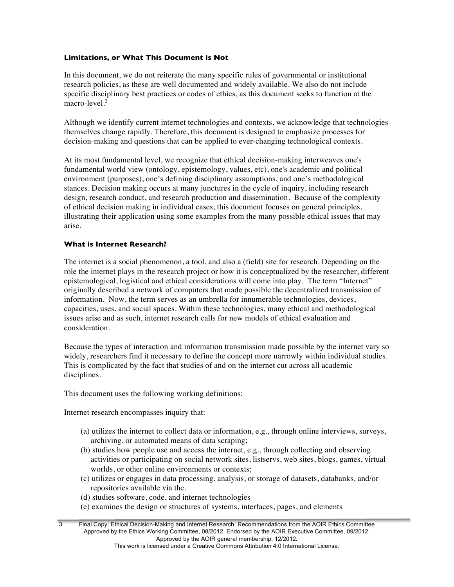# **Limitations, or What This Document is Not**

In this document, we do not reiterate the many specific rules of governmental or institutional research policies, as these are well documented and widely available. We also do not include specific disciplinary best practices or codes of ethics, as this document seeks to function at the  $maccro-level.<sup>2</sup>$ 

Although we identify current internet technologies and contexts, we acknowledge that technologies themselves change rapidly. Therefore, this document is designed to emphasize processes for decision-making and questions that can be applied to ever-changing technological contexts.

At its most fundamental level, we recognize that ethical decision-making interweaves one's fundamental world view (ontology, epistemology, values, etc), one's academic and political environment (purposes), one's defining disciplinary assumptions, and one's methodological stances. Decision making occurs at many junctures in the cycle of inquiry, including research design, research conduct, and research production and dissemination. Because of the complexity of ethical decision making in individual cases, this document focuses on general principles, illustrating their application using some examples from the many possible ethical issues that may arise.

# **What is Internet Research?**

The internet is a social phenomenon, a tool, and also a (field) site for research. Depending on the role the internet plays in the research project or how it is conceptualized by the researcher, different epistemological, logistical and ethical considerations will come into play. The term "Internet" originally described a network of computers that made possible the decentralized transmission of information. Now, the term serves as an umbrella for innumerable technologies, devices, capacities, uses, and social spaces. Within these technologies, many ethical and methodological issues arise and as such, internet research calls for new models of ethical evaluation and consideration.

Because the types of interaction and information transmission made possible by the internet vary so widely, researchers find it necessary to define the concept more narrowly within individual studies. This is complicated by the fact that studies of and on the internet cut across all academic disciplines.

This document uses the following working definitions:

Internet research encompasses inquiry that:

- (a) utilizes the internet to collect data or information, e.g., through online interviews, surveys, archiving, or automated means of data scraping;
- (b) studies how people use and access the internet, e.g., through collecting and observing activities or participating on social network sites, listservs, web sites, blogs, games, virtual worlds, or other online environments or contexts;
- (c) utilizes or engages in data processing, analysis, or storage of datasets, databanks, and/or repositories available via the.
- (d) studies software, code, and internet technologies
- (e) examines the design or structures of systems, interfaces, pages, and elements

<sup>3</sup> Final Copy: Ethical Decision-Making and Internet Research: Recommendations from the AOIR Ethics Committee Approved by the Ethics Working Committee, 08/2012. Endorsed by the AOIR Executive Committee, 09/2012. Approved by the AOIR general membership, 12/2012.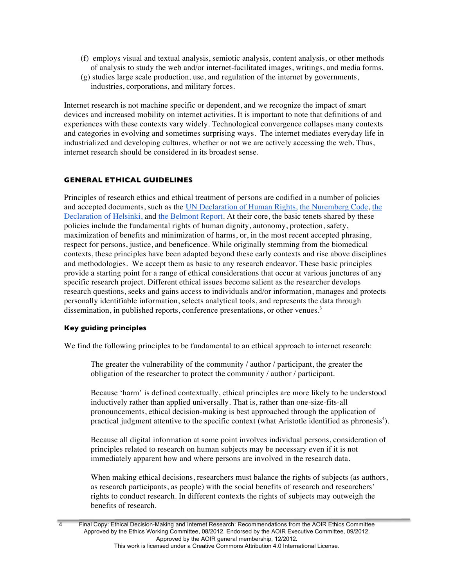- (f) employs visual and textual analysis, semiotic analysis, content analysis, or other methods of analysis to study the web and/or internet-facilitated images, writings, and media forms.
- (g) studies large scale production, use, and regulation of the internet by governments, industries, corporations, and military forces.

Internet research is not machine specific or dependent, and we recognize the impact of smart devices and increased mobility on internet activities. It is important to note that definitions of and experiences with these contexts vary widely. Technological convergence collapses many contexts and categories in evolving and sometimes surprising ways. The internet mediates everyday life in industrialized and developing cultures, whether or not we are actively accessing the web. Thus, internet research should be considered in its broadest sense.

# **GENERAL ETHICAL GUIDELINES**

Principles of research ethics and ethical treatment of persons are codified in a number of policies and accepted documents, such as the UN Declaration of Human Rights, the Nuremberg Code, the Declaration of Helsinki, and the Belmont Report. At their core, the basic tenets shared by these policies include the fundamental rights of human dignity, autonomy, protection, safety, maximization of benefits and minimization of harms, or, in the most recent accepted phrasing, respect for persons, justice, and beneficence. While originally stemming from the biomedical contexts, these principles have been adapted beyond these early contexts and rise above disciplines and methodologies. We accept them as basic to any research endeavor. These basic principles provide a starting point for a range of ethical considerations that occur at various junctures of any specific research project. Different ethical issues become salient as the researcher develops research questions, seeks and gains access to individuals and/or information, manages and protects personally identifiable information, selects analytical tools, and represents the data through dissemination, in published reports, conference presentations, or other venues.<sup>3</sup>

### **Key guiding principles**

We find the following principles to be fundamental to an ethical approach to internet research:

The greater the vulnerability of the community / author / participant, the greater the obligation of the researcher to protect the community / author / participant.

Because 'harm' is defined contextually, ethical principles are more likely to be understood inductively rather than applied universally. That is, rather than one-size-fits-all pronouncements, ethical decision-making is best approached through the application of practical judgment attentive to the specific context (what Aristotle identified as phronesis<sup>4</sup>).

Because all digital information at some point involves individual persons, consideration of principles related to research on human subjects may be necessary even if it is not immediately apparent how and where persons are involved in the research data.

When making ethical decisions, researchers must balance the rights of subjects (as authors, as research participants, as people) with the social benefits of research and researchers' rights to conduct research. In different contexts the rights of subjects may outweigh the benefits of research.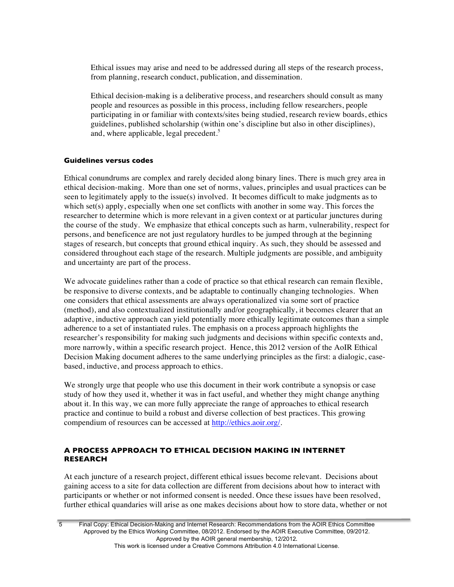Ethical issues may arise and need to be addressed during all steps of the research process, from planning, research conduct, publication, and dissemination.

Ethical decision-making is a deliberative process, and researchers should consult as many people and resources as possible in this process, including fellow researchers, people participating in or familiar with contexts/sites being studied, research review boards, ethics guidelines, published scholarship (within one's discipline but also in other disciplines), and, where applicable, legal precedent. 5

### **Guidelines versus codes**

Ethical conundrums are complex and rarely decided along binary lines. There is much grey area in ethical decision-making. More than one set of norms, values, principles and usual practices can be seen to legitimately apply to the issue(s) involved. It becomes difficult to make judgments as to which set(s) apply, especially when one set conflicts with another in some way. This forces the researcher to determine which is more relevant in a given context or at particular junctures during the course of the study. We emphasize that ethical concepts such as harm, vulnerability, respect for persons, and beneficence are not just regulatory hurdles to be jumped through at the beginning stages of research, but concepts that ground ethical inquiry. As such, they should be assessed and considered throughout each stage of the research. Multiple judgments are possible, and ambiguity and uncertainty are part of the process.

We advocate guidelines rather than a code of practice so that ethical research can remain flexible, be responsive to diverse contexts, and be adaptable to continually changing technologies. When one considers that ethical assessments are always operationalized via some sort of practice (method), and also contextualized institutionally and/or geographically, it becomes clearer that an adaptive, inductive approach can yield potentially more ethically legitimate outcomes than a simple adherence to a set of instantiated rules. The emphasis on a process approach highlights the researcher's responsibility for making such judgments and decisions within specific contexts and, more narrowly, within a specific research project. Hence, this 2012 version of the AoIR Ethical Decision Making document adheres to the same underlying principles as the first: a dialogic, casebased, inductive, and process approach to ethics.

We strongly urge that people who use this document in their work contribute a synopsis or case study of how they used it, whether it was in fact useful, and whether they might change anything about it. In this way, we can more fully appreciate the range of approaches to ethical research practice and continue to build a robust and diverse collection of best practices. This growing compendium of resources can be accessed at http://ethics.aoir.org/.

# **A PROCESS APPROACH TO ETHICAL DECISION MAKING IN INTERNET RESEARCH**

At each juncture of a research project, different ethical issues become relevant. Decisions about gaining access to a site for data collection are different from decisions about how to interact with participants or whether or not informed consent is needed. Once these issues have been resolved, further ethical quandaries will arise as one makes decisions about how to store data, whether or not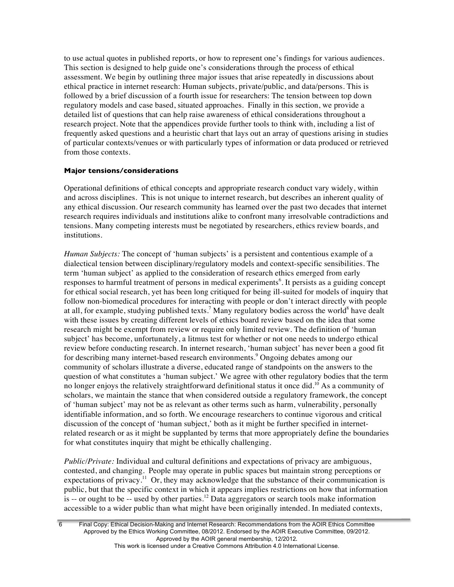to use actual quotes in published reports, or how to represent one's findings for various audiences. This section is designed to help guide one's considerations through the process of ethical assessment. We begin by outlining three major issues that arise repeatedly in discussions about ethical practice in internet research: Human subjects, private/public, and data/persons. This is followed by a brief discussion of a fourth issue for researchers: The tension between top down regulatory models and case based, situated approaches. Finally in this section, we provide a detailed list of questions that can help raise awareness of ethical considerations throughout a research project. Note that the appendices provide further tools to think with, including a list of frequently asked questions and a heuristic chart that lays out an array of questions arising in studies of particular contexts/venues or with particularly types of information or data produced or retrieved from those contexts.

### **Major tensions/considerations**

Operational definitions of ethical concepts and appropriate research conduct vary widely, within and across disciplines. This is not unique to internet research, but describes an inherent quality of any ethical discussion. Our research community has learned over the past two decades that internet research requires individuals and institutions alike to confront many irresolvable contradictions and tensions. Many competing interests must be negotiated by researchers, ethics review boards, and institutions.

*Human Subjects:* The concept of 'human subjects' is a persistent and contentious example of a dialectical tension between disciplinary/regulatory models and context-specific sensibilities. The term 'human subject' as applied to the consideration of research ethics emerged from early responses to harmful treatment of persons in medical experiments<sup>6</sup>. It persists as a guiding concept for ethical social research, yet has been long critiqued for being ill-suited for models of inquiry that follow non-biomedical procedures for interacting with people or don't interact directly with people at all, for example, studying published texts.<sup>7</sup> Many regulatory bodies across the world<sup>8</sup> have dealt with these issues by creating different levels of ethics board review based on the idea that some research might be exempt from review or require only limited review. The definition of 'human subject' has become, unfortunately, a litmus test for whether or not one needs to undergo ethical review before conducting research. In internet research, 'human subject' has never been a good fit for describing many internet-based research environments. <sup>9</sup> Ongoing debates among our community of scholars illustrate a diverse, educated range of standpoints on the answers to the question of what constitutes a 'human subject.' We agree with other regulatory bodies that the term no longer enjoys the relatively straightforward definitional status it once did. <sup>10</sup> As a community of scholars, we maintain the stance that when considered outside a regulatory framework, the concept of 'human subject' may not be as relevant as other terms such as harm, vulnerability, personally identifiable information, and so forth. We encourage researchers to continue vigorous and critical discussion of the concept of 'human subject,' both as it might be further specified in internetrelated research or as it might be supplanted by terms that more appropriately define the boundaries for what constitutes inquiry that might be ethically challenging.

*Public/Private:* Individual and cultural definitions and expectations of privacy are ambiguous, contested, and changing. People may operate in public spaces but maintain strong perceptions or expectations of privacy.<sup>11</sup> Or, they may acknowledge that the substance of their communication is public, but that the specific context in which it appears implies restrictions on how that information is  $-$  or ought to be  $-$  used by other parties.<sup>12</sup> Data aggregators or search tools make information accessible to a wider public than what might have been originally intended. In mediated contexts,

6 Final Copy: Ethical Decision-Making and Internet Research: Recommendations from the AOIR Ethics Committee Approved by the Ethics Working Committee, 08/2012. Endorsed by the AOIR Executive Committee, 09/2012. Approved by the AOIR general membership, 12/2012.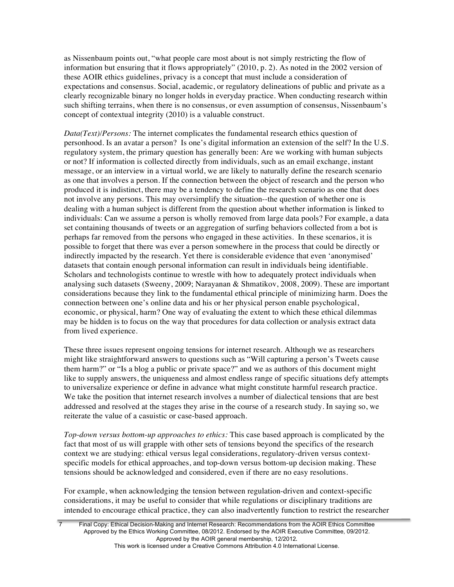as Nissenbaum points out, "what people care most about is not simply restricting the flow of information but ensuring that it flows appropriately" (2010, p. 2). As noted in the 2002 version of these AOIR ethics guidelines, privacy is a concept that must include a consideration of expectations and consensus. Social, academic, or regulatory delineations of public and private as a clearly recognizable binary no longer holds in everyday practice. When conducting research within such shifting terrains, when there is no consensus, or even assumption of consensus, Nissenbaum's concept of contextual integrity (2010) is a valuable construct.

*Data(Text)/Persons:* The internet complicates the fundamental research ethics question of personhood. Is an avatar a person? Is one's digital information an extension of the self? In the U.S. regulatory system, the primary question has generally been: Are we working with human subjects or not? If information is collected directly from individuals, such as an email exchange, instant message, or an interview in a virtual world, we are likely to naturally define the research scenario as one that involves a person. If the connection between the object of research and the person who produced it is indistinct, there may be a tendency to define the research scenario as one that does not involve any persons. This may oversimplify the situation--the question of whether one is dealing with a human subject is different from the question about whether information is linked to individuals: Can we assume a person is wholly removed from large data pools? For example, a data set containing thousands of tweets or an aggregation of surfing behaviors collected from a bot is perhaps far removed from the persons who engaged in these activities. In these scenarios, it is possible to forget that there was ever a person somewhere in the process that could be directly or indirectly impacted by the research. Yet there is considerable evidence that even 'anonymised' datasets that contain enough personal information can result in individuals being identifiable. Scholars and technologists continue to wrestle with how to adequately protect individuals when analysing such datasets (Sweeny, 2009; Narayanan & Shmatikov, 2008, 2009). These are important considerations because they link to the fundamental ethical principle of minimizing harm. Does the connection between one's online data and his or her physical person enable psychological, economic, or physical, harm? One way of evaluating the extent to which these ethical dilemmas may be hidden is to focus on the way that procedures for data collection or analysis extract data from lived experience.

These three issues represent ongoing tensions for internet research. Although we as researchers might like straightforward answers to questions such as "Will capturing a person's Tweets cause them harm?" or "Is a blog a public or private space?" and we as authors of this document might like to supply answers, the uniqueness and almost endless range of specific situations defy attempts to universalize experience or define in advance what might constitute harmful research practice. We take the position that internet research involves a number of dialectical tensions that are best addressed and resolved at the stages they arise in the course of a research study. In saying so, we reiterate the value of a casuistic or case-based approach.

*Top-down versus bottom-up approaches to ethics:* This case based approach is complicated by the fact that most of us will grapple with other sets of tensions beyond the specifics of the research context we are studying: ethical versus legal considerations, regulatory-driven versus contextspecific models for ethical approaches, and top-down versus bottom-up decision making. These tensions should be acknowledged and considered, even if there are no easy resolutions.

For example, when acknowledging the tension between regulation-driven and context-specific considerations, it may be useful to consider that while regulations or disciplinary traditions are intended to encourage ethical practice, they can also inadvertently function to restrict the researcher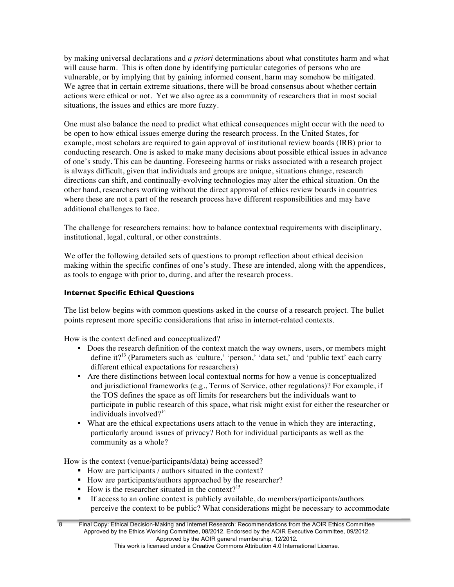by making universal declarations and *a priori* determinations about what constitutes harm and what will cause harm. This is often done by identifying particular categories of persons who are vulnerable, or by implying that by gaining informed consent, harm may somehow be mitigated. We agree that in certain extreme situations, there will be broad consensus about whether certain actions were ethical or not. Yet we also agree as a community of researchers that in most social situations, the issues and ethics are more fuzzy.

One must also balance the need to predict what ethical consequences might occur with the need to be open to how ethical issues emerge during the research process. In the United States, for example, most scholars are required to gain approval of institutional review boards (IRB) prior to conducting research. One is asked to make many decisions about possible ethical issues in advance of one's study. This can be daunting. Foreseeing harms or risks associated with a research project is always difficult, given that individuals and groups are unique, situations change, research directions can shift, and continually-evolving technologies may alter the ethical situation. On the other hand, researchers working without the direct approval of ethics review boards in countries where these are not a part of the research process have different responsibilities and may have additional challenges to face.

The challenge for researchers remains: how to balance contextual requirements with disciplinary, institutional, legal, cultural, or other constraints.

We offer the following detailed sets of questions to prompt reflection about ethical decision making within the specific confines of one's study. These are intended, along with the appendices, as tools to engage with prior to, during, and after the research process.

# **Internet Specific Ethical Questions**

The list below begins with common questions asked in the course of a research project. The bullet points represent more specific considerations that arise in internet-related contexts.

How is the context defined and conceptualized?

- Does the research definition of the context match the way owners, users, or members might define it?<sup>13</sup> (Parameters such as 'culture,' 'person,' 'data set,' and 'public text' each carry different ethical expectations for researchers)
- § Are there distinctions between local contextual norms for how a venue is conceptualized and jurisdictional frameworks (e.g., Terms of Service, other regulations)? For example, if the TOS defines the space as off limits for researchers but the individuals want to participate in public research of this space, what risk might exist for either the researcher or individuals involved $2^{14}$
- What are the ethical expectations users attach to the venue in which they are interacting, particularly around issues of privacy? Both for individual participants as well as the community as a whole?

How is the context (venue/participants/data) being accessed?

- How are participants / authors situated in the context?
- How are participants/authors approached by the researcher?
- How is the researcher situated in the context?<sup>15</sup>
- If access to an online context is publicly available, do members/participants/authors perceive the context to be public? What considerations might be necessary to accommodate

<sup>8</sup> Final Copy: Ethical Decision-Making and Internet Research: Recommendations from the AOIR Ethics Committee Approved by the Ethics Working Committee, 08/2012. Endorsed by the AOIR Executive Committee, 09/2012. Approved by the AOIR general membership, 12/2012.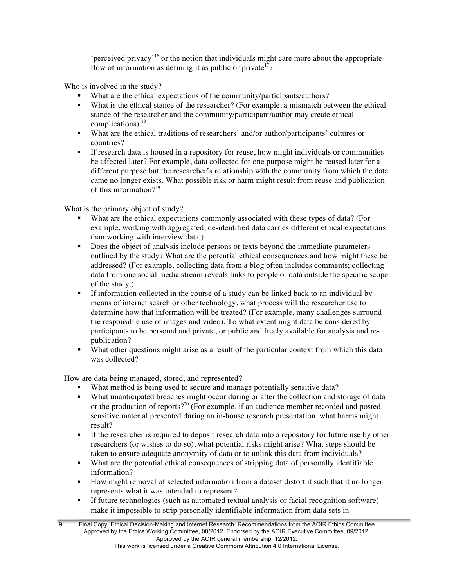'perceived privacy'<sup>16</sup> or the notion that individuals might care more about the appropriate flow of information as defining it as public or private<sup>17</sup>?

Who is involved in the study?

- What are the ethical expectations of the community/participants/authors?
- What is the ethical stance of the researcher? (For example, a mismatch between the ethical stance of the researcher and the community/participant/author may create ethical complications). 18
- § What are the ethical traditions of researchers' and/or author/participants' cultures or countries?
- If research data is housed in a repository for reuse, how might individuals or communities be affected later? For example, data collected for one purpose might be reused later for a different purpose but the researcher's relationship with the community from which the data came no longer exists. What possible risk or harm might result from reuse and publication of this information $2^{19}$

What is the primary object of study?

- What are the ethical expectations commonly associated with these types of data? (For example, working with aggregated, de-identified data carries different ethical expectations than working with interview data.)
- Does the object of analysis include persons or texts beyond the immediate parameters outlined by the study? What are the potential ethical consequences and how might these be addressed? (For example, collecting data from a blog often includes comments; collecting data from one social media stream reveals links to people or data outside the specific scope of the study.)
- § If information collected in the course of a study can be linked back to an individual by means of internet search or other technology, what process will the researcher use to determine how that information will be treated? (For example, many challenges surround the responsible use of images and video). To what extent might data be considered by participants to be personal and private, or public and freely available for analysis and republication?
- What other questions might arise as a result of the particular context from which this data was collected?

How are data being managed, stored, and represented?

- What method is being used to secure and manage potentially sensitive data?
- What unanticipated breaches might occur during or after the collection and storage of data or the production of reports?<sup>20</sup> (For example, if an audience member recorded and posted sensitive material presented during an in-house research presentation, what harms might result?
- If the researcher is required to deposit research data into a repository for future use by other researchers (or wishes to do so), what potential risks might arise? What steps should be taken to ensure adequate anonymity of data or to unlink this data from individuals?
- § What are the potential ethical consequences of stripping data of personally identifiable information?
- § How might removal of selected information from a dataset distort it such that it no longer represents what it was intended to represent?
- § If future technologies (such as automated textual analysis or facial recognition software) make it impossible to strip personally identifiable information from data sets in

<sup>9</sup> Final Copy: Ethical Decision-Making and Internet Research: Recommendations from the AOIR Ethics Committee Approved by the Ethics Working Committee, 08/2012. Endorsed by the AOIR Executive Committee, 09/2012. Approved by the AOIR general membership, 12/2012. This work is licensed under a Creative Commons Attribution 4.0 International License.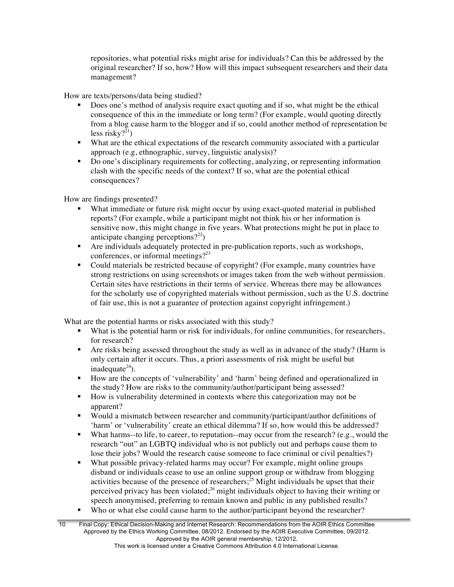repositories, what potential risks might arise for individuals? Can this be addressed by the original researcher? If so, how? How will this impact subsequent researchers and their data management?

How are texts/persons/data being studied?

- § Does one's method of analysis require exact quoting and if so, what might be the ethical consequence of this in the immediate or long term? (For example, would quoting directly from a blog cause harm to the blogger and if so, could another method of representation be less risky? $^{21}$ )
- § What are the ethical expectations of the research community associated with a particular approach (e.g, ethnographic, survey, linguistic analysis)?
- Do one's disciplinary requirements for collecting, analyzing, or representing information clash with the specific needs of the context? If so, what are the potential ethical consequences?

How are findings presented?

- What immediate or future risk might occur by using exact-quoted material in published reports? (For example, while a participant might not think his or her information is sensitive now, this might change in five years. What protections might be put in place to anticipate changing perceptions? $2^{22}$ )
- § Are individuals adequately protected in pre-publication reports, such as workshops, conferences, or informal meetings?<sup>23</sup>
- § Could materials be restricted because of copyright? (For example, many countries have strong restrictions on using screenshots or images taken from the web without permission. Certain sites have restrictions in their terms of service. Whereas there may be allowances for the scholarly use of copyrighted materials without permission, such as the U.S. doctrine of fair use, this is not a guarantee of protection against copyright infringement.)

What are the potential harms or risks associated with this study?

- What is the potential harm or risk for individuals, for online communities, for researchers, for research?
- Are risks being assessed throughout the study as well as in advance of the study? (Harm is only certain after it occurs. Thus, a priori assessments of risk might be useful but inadequate $^{24}$ ).
- § How are the concepts of 'vulnerability' and 'harm' being defined and operationalized in the study? How are risks to the community/author/participant being assessed?
- § How is vulnerability determined in contexts where this categorization may not be apparent?
- § Would a mismatch between researcher and community/participant/author definitions of 'harm' or 'vulnerability' create an ethical dilemma? If so, how would this be addressed?
- What harms--to life, to career, to reputation--may occur from the research? (e.g., would the research "out" an LGBTQ individual who is not publicly out and perhaps cause them to lose their jobs? Would the research cause someone to face criminal or civil penalties?)
- What possible privacy-related harms may occur? For example, might online groups disband or individuals cease to use an online support group or withdraw from blogging activities because of the presence of researchers;<sup>25</sup> Might individuals be upset that their perceived privacy has been violated;<sup>26</sup> might individuals object to having their writing or speech anonymised, preferring to remain known and public in any published results?
- Who or what else could cause harm to the author/participant beyond the researcher?

<sup>10</sup> Final Copy: Ethical Decision-Making and Internet Research: Recommendations from the AOIR Ethics Committee Approved by the Ethics Working Committee, 08/2012. Endorsed by the AOIR Executive Committee, 09/2012. Approved by the AOIR general membership, 12/2012.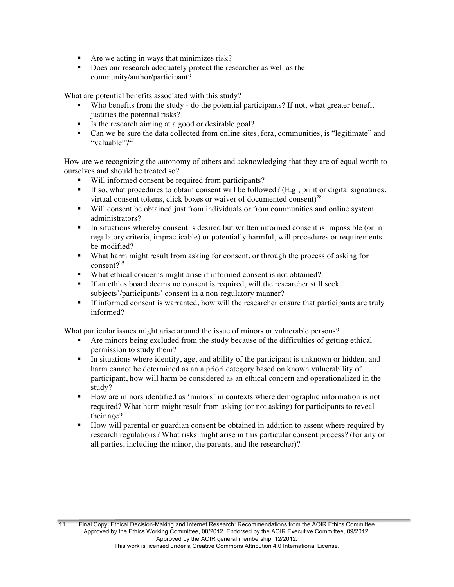- Are we acting in ways that minimizes risk?
- Does our research adequately protect the researcher as well as the community/author/participant?

What are potential benefits associated with this study?

- Who benefits from the study do the potential participants? If not, what greater benefit justifies the potential risks?
- Is the research aiming at a good or desirable goal?
- § Can we be sure the data collected from online sites, fora, communities, is "legitimate" and "valuable"?<sup>27</sup>

How are we recognizing the autonomy of others and acknowledging that they are of equal worth to ourselves and should be treated so?

- Will informed consent be required from participants?
- **•** If so, what procedures to obtain consent will be followed? (E.g., print or digital signatures, virtual consent tokens, click boxes or waiver of documented consent) $^{28}$
- Will consent be obtained just from individuals or from communities and online system administrators?
- In situations whereby consent is desired but written informed consent is impossible (or in regulatory criteria, impracticable) or potentially harmful, will procedures or requirements be modified?
- § What harm might result from asking for consent, or through the process of asking for consent?<sup>29</sup>
- What ethical concerns might arise if informed consent is not obtained?
- If an ethics board deems no consent is required, will the researcher still seek subjects'/participants' consent in a non-regulatory manner?
- If informed consent is warranted, how will the researcher ensure that participants are truly informed?

What particular issues might arise around the issue of minors or vulnerable persons?

- § Are minors being excluded from the study because of the difficulties of getting ethical permission to study them?
- In situations where identity, age, and ability of the participant is unknown or hidden, and harm cannot be determined as an a priori category based on known vulnerability of participant, how will harm be considered as an ethical concern and operationalized in the study?
- § How are minors identified as 'minors' in contexts where demographic information is not required? What harm might result from asking (or not asking) for participants to reveal their age?
- § How will parental or guardian consent be obtained in addition to assent where required by research regulations? What risks might arise in this particular consent process? (for any or all parties, including the minor, the parents, and the researcher)?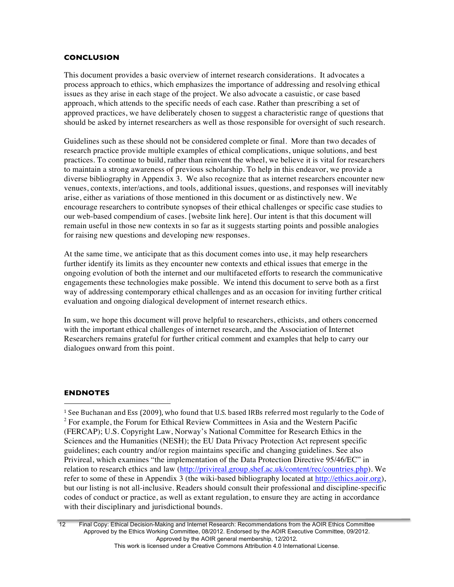#### **CONCLUSION**

This document provides a basic overview of internet research considerations. It advocates a process approach to ethics, which emphasizes the importance of addressing and resolving ethical issues as they arise in each stage of the project. We also advocate a casuistic, or case based approach, which attends to the specific needs of each case. Rather than prescribing a set of approved practices, we have deliberately chosen to suggest a characteristic range of questions that should be asked by internet researchers as well as those responsible for oversight of such research.

Guidelines such as these should not be considered complete or final. More than two decades of research practice provide multiple examples of ethical complications, unique solutions, and best practices. To continue to build, rather than reinvent the wheel, we believe it is vital for researchers to maintain a strong awareness of previous scholarship. To help in this endeavor, we provide a diverse bibliography in Appendix 3. We also recognize that as internet researchers encounter new venues, contexts, inter/actions, and tools, additional issues, questions, and responses will inevitably arise, either as variations of those mentioned in this document or as distinctively new. We encourage researchers to contribute synopses of their ethical challenges or specific case studies to our web-based compendium of cases. [website link here]. Our intent is that this document will remain useful in those new contexts in so far as it suggests starting points and possible analogies for raising new questions and developing new responses.

At the same time, we anticipate that as this document comes into use, it may help researchers further identify its limits as they encounter new contexts and ethical issues that emerge in the ongoing evolution of both the internet and our multifaceted efforts to research the communicative engagements these technologies make possible. We intend this document to serve both as a first way of addressing contemporary ethical challenges and as an occasion for inviting further critical evaluation and ongoing dialogical development of internet research ethics.

In sum, we hope this document will prove helpful to researchers, ethicists, and others concerned with the important ethical challenges of internet research, and the Association of Internet Researchers remains grateful for further critical comment and examples that help to carry our dialogues onward from this point.

### **ENDNOTES**

 

<sup>1</sup> See Buchanan and Ess (2009), who found that U.S. based IRBs referred most regularly to the Code of <sup>2</sup> For example, the Forum for Ethical Review Committees in Asia and the Western Pacific (FERCAP); U.S. Copyright Law, Norway's National Committee for Research Ethics in the Sciences and the Humanities (NESH); the EU Data Privacy Protection Act represent specific guidelines; each country and/or region maintains specific and changing guidelines. See also Privireal, which examines "the implementation of the Data Protection Directive 95/46/EC" in relation to research ethics and law (http://privireal.group.shef.ac.uk/content/rec/countries.php). We refer to some of these in Appendix 3 (the wiki-based bibliography located at http://ethics.aoir.org), but our listing is not all-inclusive. Readers should consult their professional and discipline-specific codes of conduct or practice, as well as extant regulation, to ensure they are acting in accordance with their disciplinary and jurisdictional bounds.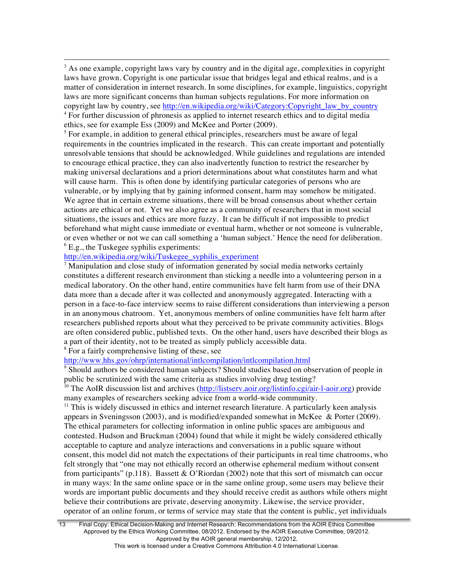$3$  As one example, copyright laws vary by country and in the digital age, complexities in copyright laws have grown. Copyright is one particular issue that bridges legal and ethical realms, and is a matter of consideration in internet research. In some disciplines, for example, linguistics, copyright laws are more significant concerns than human subjects regulations. For more information on copyright law by country, see http://en.wikipedia.org/wiki/Category:Copyright\_law\_by\_country <sup>4</sup> For further discussion of phronesis as applied to internet research ethics and to digital media ethics, see for example Ess (2009) and McKee and Porter (2009).

<u> 1989 - Andrea Santa Andrea Andrea Andrea Andrea Andrea Andrea Andrea Andrea Andrea Andrea Andrea Andrea Andr</u>

 $<sup>5</sup>$  For example, in addition to general ethical principles, researchers must be aware of legal</sup> requirements in the countries implicated in the research. This can create important and potentially unresolvable tensions that should be acknowledged. While guidelines and regulations are intended to encourage ethical practice, they can also inadvertently function to restrict the researcher by making universal declarations and a priori determinations about what constitutes harm and what will cause harm. This is often done by identifying particular categories of persons who are vulnerable, or by implying that by gaining informed consent, harm may somehow be mitigated. We agree that in certain extreme situations, there will be broad consensus about whether certain actions are ethical or not. Yet we also agree as a community of researchers that in most social situations, the issues and ethics are more fuzzy. It can be difficult if not impossible to predict beforehand what might cause immediate or eventual harm, whether or not someone is vulnerable, or even whether or not we can call something a 'human subject.' Hence the need for deliberation.  $<sup>6</sup>$  E.g., the Tuskegee syphilis experiments:</sup>

# http://en.wikipedia.org/wiki/Tuskegee\_syphilis\_experiment

<sup>7</sup> Manipulation and close study of information generated by social media networks certainly constitutes a different research environment than sticking a needle into a volunteering person in a medical laboratory. On the other hand, entire communities have felt harm from use of their DNA data more than a decade after it was collected and anonymously aggregated. Interacting with a person in a face-to-face interview seems to raise different considerations than interviewing a person in an anonymous chatroom. Yet, anonymous members of online communities have felt harm after researchers published reports about what they perceived to be private community activities. Blogs are often considered public, published texts. On the other hand, users have described their blogs as a part of their identity, not to be treated as simply publicly accessible data.

<sup>8</sup> For a fairly comprehensive listing of these, see

# http://www.hhs.gov/ohrp/international/intlcompilation/intlcompilation.html

<sup>9</sup> Should authors be considered human subjects? Should studies based on observation of people in public be scrutinized with the same criteria as studies involving drug testing?

<sup>10</sup> The AoIR discussion list and archives (http://listserv.aoir.org/listinfo.cgi/air-l-aoir.org) provide many examples of researchers seeking advice from a world-wide community.

 $<sup>11</sup>$  This is widely discussed in ethics and internet research literature. A particularly keen analysis</sup> appears in Sveningsson (2003), and is modified/expanded somewhat in McKee & Porter (2009). The ethical parameters for collecting information in online public spaces are ambiguous and contested. Hudson and Bruckman (2004) found that while it might be widely considered ethically acceptable to capture and analyze interactions and conversations in a public square without consent, this model did not match the expectations of their participants in real time chatrooms, who felt strongly that "one may not ethically record an otherwise ephemeral medium without consent from participants" (p.118). Bassett & O'Riordan (2002) note that this sort of mismatch can occur in many ways: In the same online space or in the same online group, some users may believe their words are important public documents and they should receive credit as authors while others might believe their contributions are private, deserving anonymity. Likewise, the service provider, operator of an online forum, or terms of service may state that the content is public, yet individuals

<sup>13</sup> Final Copy: Ethical Decision-Making and Internet Research: Recommendations from the AOIR Ethics Committee Approved by the Ethics Working Committee, 08/2012. Endorsed by the AOIR Executive Committee, 09/2012. Approved by the AOIR general membership, 12/2012.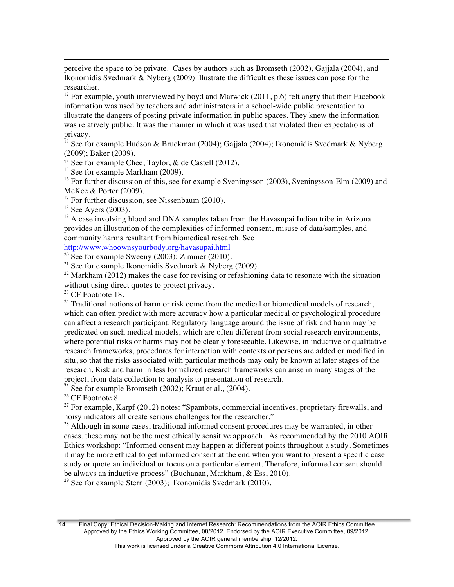perceive the space to be private. Cases by authors such as Bromseth (2002), Gajjala (2004), and Ikonomidis Svedmark & Nyberg (2009) illustrate the difficulties these issues can pose for the researcher.

<u> 1989 - Andrea Santa Andrea Andrea Andrea Andrea Andrea Andrea Andrea Andrea Andrea Andrea Andrea Andrea Andr</u>

<sup>12</sup> For example, youth interviewed by boyd and Marwick (2011, p.6) felt angry that their Facebook information was used by teachers and administrators in a school-wide public presentation to illustrate the dangers of posting private information in public spaces. They knew the information was relatively public. It was the manner in which it was used that violated their expectations of privacy.

<sup>13</sup> See for example Hudson & Bruckman (2004); Gajjala (2004); Ikonomidis Svedmark & Nyberg (2009); Baker (2009).

<sup>14</sup> See for example Chee, Taylor,  $\&$  de Castell (2012).

<sup>15</sup> See for example Markham (2009).

<sup>16</sup> For further discussion of this, see for example Sveningsson (2003), Sveningsson-Elm (2009) and McKee & Porter (2009).

<sup>17</sup> For further discussion, see Nissenbaum (2010).

 $18$  See Ayers (2003).

<sup>19</sup> A case involving blood and DNA samples taken from the Havasupai Indian tribe in Arizona provides an illustration of the complexities of informed consent, misuse of data/samples, and community harms resultant from biomedical research. See

http://www.whoownsyourbody.org/havasupai.html

 $\frac{20 \text{ See}}{20 \text{ See}}$  for example Sweeny (2003); Zimmer (2010).

<sup>21</sup> See for example Ikonomidis Svedmark & Nyberg (2009).

<sup>22</sup> Markham (2012) makes the case for revising or refashioning data to resonate with the situation without using direct quotes to protect privacy.

<sup>23</sup> CF Footnote 18.

 $24$  Traditional notions of harm or risk come from the medical or biomedical models of research, which can often predict with more accuracy how a particular medical or psychological procedure can affect a research participant. Regulatory language around the issue of risk and harm may be predicated on such medical models, which are often different from social research environments, where potential risks or harms may not be clearly foreseeable. Likewise, in inductive or qualitative research frameworks, procedures for interaction with contexts or persons are added or modified in situ, so that the risks associated with particular methods may only be known at later stages of the research. Risk and harm in less formalized research frameworks can arise in many stages of the project, from data collection to analysis to presentation of research.

<sup>25</sup> See for example Bromseth (2002); Kraut et al., (2004).

<sup>26</sup> CF Footnote 8

 $27$  For example, Karpf (2012) notes: "Spambots, commercial incentives, proprietary firewalls, and noisy indicators all create serious challenges for the researcher."

 $28$  Although in some cases, traditional informed consent procedures may be warranted, in other cases, these may not be the most ethically sensitive approach. As recommended by the 2010 AOIR Ethics workshop: "Informed consent may happen at different points throughout a study, Sometimes it may be more ethical to get informed consent at the end when you want to present a specific case study or quote an individual or focus on a particular element. Therefore, informed consent should be always an inductive process" (Buchanan, Markham, & Ess, 2010).

<sup>29</sup> See for example Stern (2003); Ikonomidis Svedmark (2010).

14 Final Copy: Ethical Decision-Making and Internet Research: Recommendations from the AOIR Ethics Committee Approved by the Ethics Working Committee, 08/2012. Endorsed by the AOIR Executive Committee, 09/2012. Approved by the AOIR general membership, 12/2012.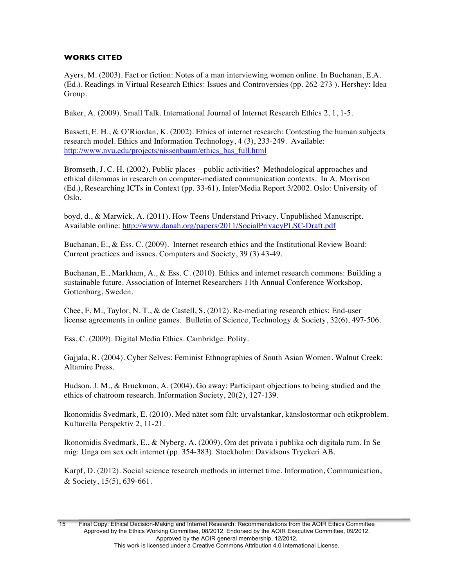# **WORKS CITED**

Ayers, M. (2003). Fact or fiction: Notes of a man interviewing women online. In Buchanan, E.A. (Ed.). Readings in Virtual Research Ethics: Issues and Controversies (pp. 262-273 ). Hershey: Idea Group.

Baker, A. (2009). Small Talk. International Journal of Internet Research Ethics 2, 1, 1-5.

Bassett, E. H., & O'Riordan, K. (2002). Ethics of internet research: Contesting the human subjects research model. Ethics and Information Technology, 4 (3), 233-249. Available: http://www.nyu.edu/projects/nissenbaum/ethics\_bas\_full.html

Bromseth, J. C. H. (2002). Public places – public activities? Methodological approaches and ethical dilemmas in research on computer-mediated communication contexts. In A. Morrison (Ed.), Researching ICTs in Context (pp. 33-61). Inter/Media Report 3/2002. Oslo: University of Oslo.

boyd, d., & Marwick, A. (2011). How Teens Understand Privacy. Unpublished Manuscript. Available online: http://www.danah.org/papers/2011/SocialPrivacyPLSC-Draft.pdf

Buchanan, E., & Ess. C. (2009). Internet research ethics and the Institutional Review Board: Current practices and issues. Computers and Society, 39 (3) 43-49.

Buchanan, E., Markham, A., & Ess. C. (2010). Ethics and internet research commons: Building a sustainable future. Association of Internet Researchers 11th Annual Conference Workshop. Gottenburg, Sweden.

Chee, F. M., Taylor, N. T., & de Castell, S. (2012). Re-mediating research ethics: End-user license agreements in online games. Bulletin of Science, Technology & Society, 32(6), 497-506.

Ess, C. (2009). Digital Media Ethics. Cambridge: Polity.

Gajjala, R. (2004). Cyber Selves: Feminist Ethnographies of South Asian Women. Walnut Creek: Altamire Press.

Hudson, J. M., & Bruckman, A. (2004). Go away: Participant objections to being studied and the ethics of chatroom research. Information Society, 20(2), 127-139.

Ikonomidis Svedmark, E. (2010). Med nätet som fält: urvalstankar, känslostormar och etikproblem. Kulturella Perspektiv 2, 11-21.

Ikonomidis Svedmark, E., & Nyberg, A. (2009). Om det privata i publika och digitala rum. In Se mig: Unga om sex och internet (pp. 354-383). Stockholm: Davidsons Tryckeri AB.

Karpf, D. (2012). Social science research methods in internet time. Information, Communication, & Society, 15(5), 639-661.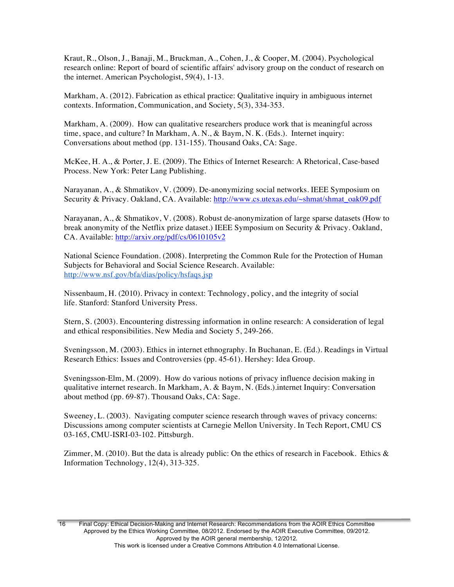Kraut, R., Olson, J., Banaji, M., Bruckman, A., Cohen, J., & Cooper, M. (2004). Psychological research online: Report of board of scientific affairs' advisory group on the conduct of research on the internet. American Psychologist, 59(4), 1-13.

Markham, A. (2012). Fabrication as ethical practice: Qualitative inquiry in ambiguous internet contexts. Information, Communication, and Society, 5(3), 334-353.

Markham, A. (2009). How can qualitative researchers produce work that is meaningful across time, space, and culture? In Markham, A. N., & Baym, N. K. (Eds.). Internet inquiry: Conversations about method (pp. 131-155). Thousand Oaks, CA: Sage.

McKee, H. A., & Porter, J. E. (2009). The Ethics of Internet Research: A Rhetorical, Case-based Process. New York: Peter Lang Publishing.

Narayanan, A., & Shmatikov, V. (2009). De-anonymizing social networks. IEEE Symposium on Security & Privacy. Oakland, CA. Available: http://www.cs.utexas.edu/~shmat/shmat\_oak09.pdf

Narayanan, A., & Shmatikov, V. (2008). Robust de-anonymization of large sparse datasets (How to break anonymity of the Netflix prize dataset.) IEEE Symposium on Security & Privacy. Oakland, CA. Available: http://arxiv.org/pdf/cs/0610105v2

National Science Foundation. (2008). Interpreting the Common Rule for the Protection of Human Subjects for Behavioral and Social Science Research. Available: http://www.nsf.gov/bfa/dias/policy/hsfaqs.jsp

Nissenbaum, H. (2010). Privacy in context: Technology, policy, and the integrity of social life. Stanford: Stanford University Press.

Stern, S. (2003). Encountering distressing information in online research: A consideration of legal and ethical responsibilities. New Media and Society 5, 249-266.

Sveningsson, M. (2003). Ethics in internet ethnography. In Buchanan, E. (Ed.). Readings in Virtual Research Ethics: Issues and Controversies (pp. 45-61). Hershey: Idea Group.

Sveningsson-Elm, M. (2009). How do various notions of privacy influence decision making in qualitative internet research. In Markham, A. & Baym, N. (Eds.).internet Inquiry: Conversation about method (pp. 69-87). Thousand Oaks, CA: Sage.

Sweeney, L. (2003). Navigating computer science research through waves of privacy concerns: Discussions among computer scientists at Carnegie Mellon University. In Tech Report, CMU CS 03-165, CMU-ISRI-03-102. Pittsburgh.

Zimmer, M. (2010). But the data is already public: On the ethics of research in Facebook. Ethics  $\&$ Information Technology, 12(4), 313-325.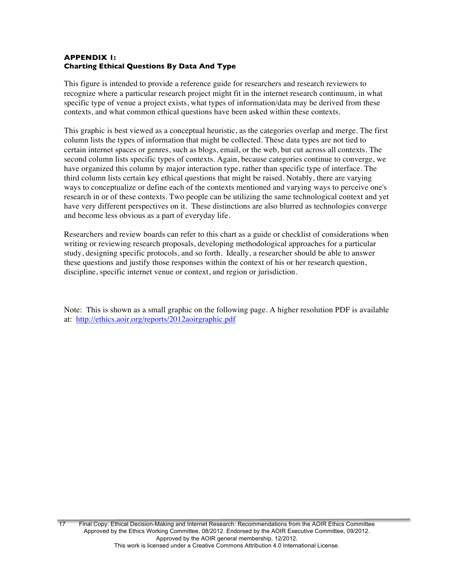# **APPENDIX 1: Charting Ethical Questions By Data And Type**

This figure is intended to provide a reference guide for researchers and research reviewers to recognize where a particular research project might fit in the internet research continuum, in what specific type of venue a project exists, what types of information/data may be derived from these contexts, and what common ethical questions have been asked within these contexts.

This graphic is best viewed as a conceptual heuristic, as the categories overlap and merge. The first column lists the types of information that might be collected. These data types are not tied to certain internet spaces or genres, such as blogs, email, or the web, but cut across all contexts. The second column lists specific types of contexts. Again, because categories continue to converge, we have organized this column by major interaction type, rather than specific type of interface. The third column lists certain key ethical questions that might be raised. Notably, there are varying ways to conceptualize or define each of the contexts mentioned and varying ways to perceive one's research in or of these contexts. Two people can be utilizing the same technological context and yet have very different perspectives on it. These distinctions are also blurred as technologies converge and become less obvious as a part of everyday life.

Researchers and review boards can refer to this chart as a guide or checklist of considerations when writing or reviewing research proposals, developing methodological approaches for a particular study, designing specific protocols, and so forth. Ideally, a researcher should be able to answer these questions and justify those responses within the context of his or her research question, discipline, specific internet venue or context, and region or jurisdiction.

Note: This is shown as a small graphic on the following page. A higher resolution PDF is available at: http://ethics.aoir.org/reports/2012aoirgraphic.pdf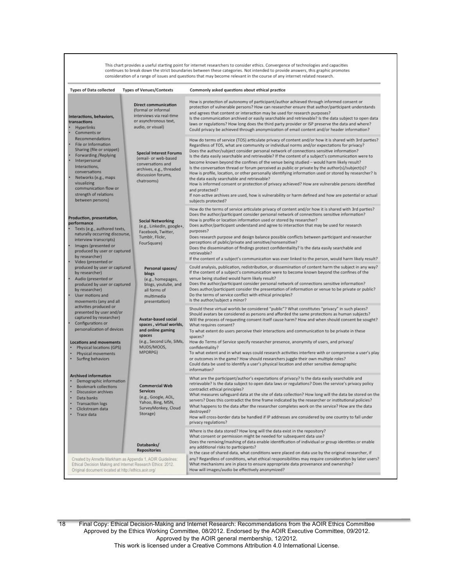This chart provides a useful starting point for internet researchers to consider ethics. Convergence of technologies and capacities<br>continues to break down the strict boundaries between these categories. Not intended to pr consideration of a range of issues and questions that may become relevant in the course of any internet related research.

| <b>Types of Data collected</b>                                                                                                                                                                                                                               | <b>Types of Venues/Contexts</b>                                                                                                             | Commonly asked questions about ethical practice                                                                                                                                                                                                                                                                                                                                                                                                                                                                                                                                                                                                                                                                                                                                                                                                                                                                                                                                                                   |
|--------------------------------------------------------------------------------------------------------------------------------------------------------------------------------------------------------------------------------------------------------------|---------------------------------------------------------------------------------------------------------------------------------------------|-------------------------------------------------------------------------------------------------------------------------------------------------------------------------------------------------------------------------------------------------------------------------------------------------------------------------------------------------------------------------------------------------------------------------------------------------------------------------------------------------------------------------------------------------------------------------------------------------------------------------------------------------------------------------------------------------------------------------------------------------------------------------------------------------------------------------------------------------------------------------------------------------------------------------------------------------------------------------------------------------------------------|
| Interactions, behaviors,<br>transactions<br><b>Hyperlinks</b><br>Comments or                                                                                                                                                                                 | <b>Direct communication</b><br>(formal or informal<br>interviews via real-time<br>or asynchronous text,<br>audio, or visual)                | How is protection of autonomy of participant/author achieved through informed consent or<br>protection of vulnerable persons? How can researcher ensure that author/participant understands<br>and agrees that content or interaction may be used for research purposes?<br>Is the communication archived or easily searchable and retrievable? Is the data subject to open data<br>laws or regulations? How long does the third party provider or ISP preserve the data and where?<br>Could privacy be achieved through anonymization of email content and/or header information?                                                                                                                                                                                                                                                                                                                                                                                                                                |
| Recommendations<br>File or Information<br>Sharing (file or snippet)<br>Forwarding / Replying<br>Interpersonal<br>Interactions,<br>conversations<br>Networks (e.g., maps<br>visualizing<br>communication flow or<br>strength of relations<br>between persons) | <b>Special Interest Forums</b><br>(email- or web-based<br>conversations and<br>archives, e.g., threaded<br>discussion forums,<br>chatrooms) | How do terms of service (TOS) articulate privacy of content and/or how it is shared with 3rd parties?<br>Regardless of TOS, what are community or individual norms and/or expectations for privacy?<br>Does the author/subject consider personal network of connections sensitive information?<br>Is the data easily searchable and retrievable? If the content of a subject's communication were to<br>become known beyond the confines of the venue being studied - would harm likely result?<br>Is the conversation thread or forum perceived as public or private by the author(s)/subject(s)?<br>How is profile, location, or other personally identifying information used or stored by researcher? Is<br>the data easily searchable and retrievable?<br>How is informed consent or protection of privacy achieved? How are vulnerable persons identified<br>and protected?<br>If non-active archives are used, how is vulnerability or harm defined and how are potential or actual<br>subjects protected? |
| Production, presentation,<br>performance<br>Texts (e.g., authored texts,<br>naturally occurring discourse,<br>interview transcripts)<br>Images (presented or<br>produced by user or captured<br>by researcher)<br>Video (presented or                        | <b>Social Networking</b><br>(e.g., LinkedIn, google+,<br>Facebook, Twitter,<br>Tumblr, Flickr,<br>FourSquare)                               | How do the terms of service articulate privacy of content and/or how it is shared with 3rd parties?<br>Does the author/participant consider personal network of connections sensitive information?<br>How is profile or location information used or stored by researcher?<br>Does author/participant understand and agree to interaction that may be used for research<br>purposes?<br>Does research purpose and design balance possible conflicts between participant and researcher<br>perceptions of public/private and sensitive/nonsensitive?<br>Does the dissemination of findings protect confidentiality? Is the data easily searchable and<br>retrievable?<br>If the content of a subject's communication was ever linked to the person, would harm likely result?                                                                                                                                                                                                                                      |
| produced by user or captured<br>by researcher)<br>Audio (presented or<br>produced by user or captured<br>by researcher)<br>User motions and<br>movements (any and all                                                                                        | Personal spaces/<br>blogs<br>(e.g., homepages,<br>blogs, youtube, and<br>all forms of<br>multimedia<br>presentation)                        | Could analysis, publication, redistribution, or dissemination of content harm the subject in any way?<br>If the content of a subject's communication were to become known beyond the confines of the<br>venue being studied would harm likely result?<br>Does the author/participant consider personal network of connections sensitive information?<br>Does author/participant consider the presentation of information or venue to be private or public?<br>Do the terms of service conflict with ethical principles?<br>Is the author/subject a minor?                                                                                                                                                                                                                                                                                                                                                                                                                                                         |
| activities produced or<br>presented by user and/or<br>captured by researcher)<br>Configurations or<br>personalization of devices<br><b>Locations and movements</b><br>Physical locations (GPS)<br>Physical movements<br>Surfing behaviors                    | <b>Avatar-based social</b><br>spaces, virtual worlds,<br>and online gaming<br>spaces<br>(e.g., Second Life, SIMs,<br>MUDS/MOOS,<br>MPORPG)  | Should these virtual worlds be considered "public"? What constitutes "privacy" in such places?<br>Should avatars be considered as persons and afforded the same protections as human subjects?<br>Will the process of requesting consent itself cause harm? How and when should consent be sought?<br>What requires consent?<br>To what extent do users perceive their interactions and communication to be private in these<br>spaces?<br>How do Terms of Service specify researcher presence, anonymity of users, and privacy/<br>confidentiality?<br>To what extent and in what ways could research activities interfere with or compromise a user's play<br>or outcomes in the game? How should researchers juggle their own multiple roles?<br>Could data be used to identify a user's physical location and other sensitive demographic<br>information?                                                                                                                                                     |
| <b>Archived information</b><br>Demographic information<br><b>Bookmark collections</b><br><b>Discussion archives</b><br>Data banks<br><b>Transaction logs</b><br>Clickstream data<br>Trace data                                                               | <b>Commercial Web</b><br><b>Services</b><br>(e.g., Google, AOL,<br>Yahoo, Bing, MSN,<br>SurveyMonkey, Cloud<br>Storage)                     | What are the participant/author's expectations of privacy? Is the data easily searchable and<br>retrievable? Is the data subject to open data laws or regulations? Does the service's privacy policy<br>contradict ethical principles?<br>What measures safeguard data at the site of data collection? How long will the data be stored on the<br>servers? Does this contradict the time frame indicated by the researcher or institutional policies?<br>What happens to the data after the researcher completes work on the service? How are the data<br>destroyed?<br>How will cross-border data be handled if IP addresses are considered by one country to fall under<br>privacy regulations?                                                                                                                                                                                                                                                                                                                 |
|                                                                                                                                                                                                                                                              | Databanks/<br><b>Repositories</b>                                                                                                           | Where is the data stored? How long will the data exist in the repository?<br>What consent or permission might be needed for subsequent data use?<br>Does the remixing/mashing of data enable identification of individual or group identities or enable<br>any additional risks to participants?<br>In the case of shared data, what conditions were placed on data use by the original researcher, if                                                                                                                                                                                                                                                                                                                                                                                                                                                                                                                                                                                                            |
| Created by Annette Markham as Appendix 1, AOIR Guidelines:<br>Ethical Decision Making and Internet Research Ethics: 2012.<br>Original document located at http://ethics.aoir.org/                                                                            |                                                                                                                                             | any? Regardless of conditions, what ethical responsibilities may require consideration by later users?<br>What mechanisms are in place to ensure appropriate data provenance and ownership?<br>How will images/audio be effectively anonymized?                                                                                                                                                                                                                                                                                                                                                                                                                                                                                                                                                                                                                                                                                                                                                                   |